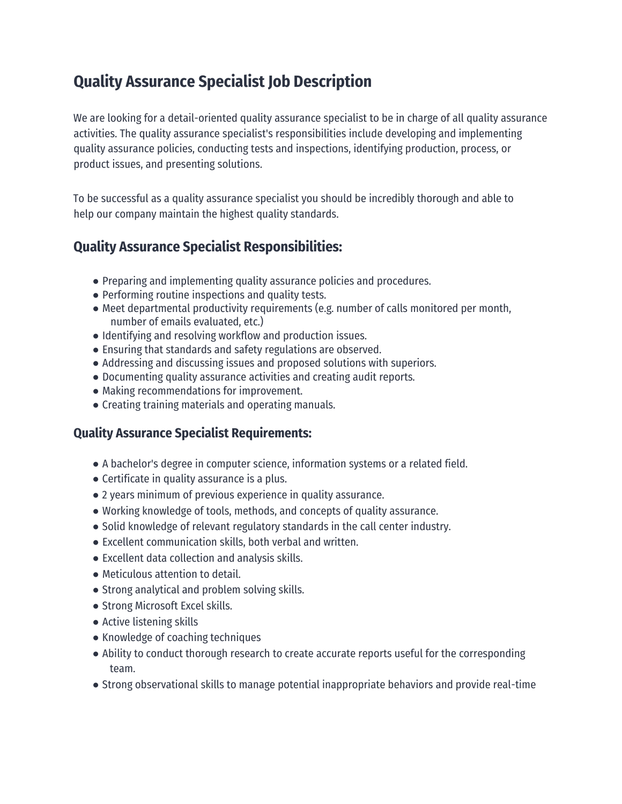## **Quality Assurance Specialist Job Description**

We are looking for a detail-oriented quality assurance specialist to be in charge of all quality assurance activities. The quality assurance specialist's responsibilities include developing and implementing quality assurance policies, conducting tests and inspections, identifying production, process, or product issues, and presenting solutions.

To be successful as a quality assurance specialist you should be incredibly thorough and able to help our company maintain the highest quality standards.

## **Quality Assurance Specialist Responsibilities:**

- Preparing and implementing quality assurance policies and procedures.
- Performing routine inspections and quality tests.
- Meet departmental productivity requirements (e.g. number of calls monitored per month, number of emails evaluated, etc.)
- Identifying and resolving workflow and production issues.
- Ensuring that standards and safety regulations are observed.
- Addressing and discussing issues and proposed solutions with superiors.
- Documenting quality assurance activities and creating audit reports.
- Making recommendations for improvement.
- Creating training materials and operating manuals.

## **Quality Assurance Specialist Requirements:**

- A bachelor's degree in computer science, information systems or a related field.
- Certificate in quality assurance is a plus.
- 2 years minimum of previous experience in quality assurance.
- Working knowledge of tools, methods, and concepts of quality assurance.
- Solid knowledge of relevant regulatory standards in the call center industry.
- Excellent communication skills, both verbal and written.
- Excellent data collection and analysis skills.
- Meticulous attention to detail.
- Strong analytical and problem solving skills.
- Strong Microsoft Excel skills.
- Active listening skills
- Knowledge of coaching techniques
- Ability to conduct thorough research to create accurate reports useful for the corresponding team.
- Strong observational skills to manage potential inappropriate behaviors and provide real-time